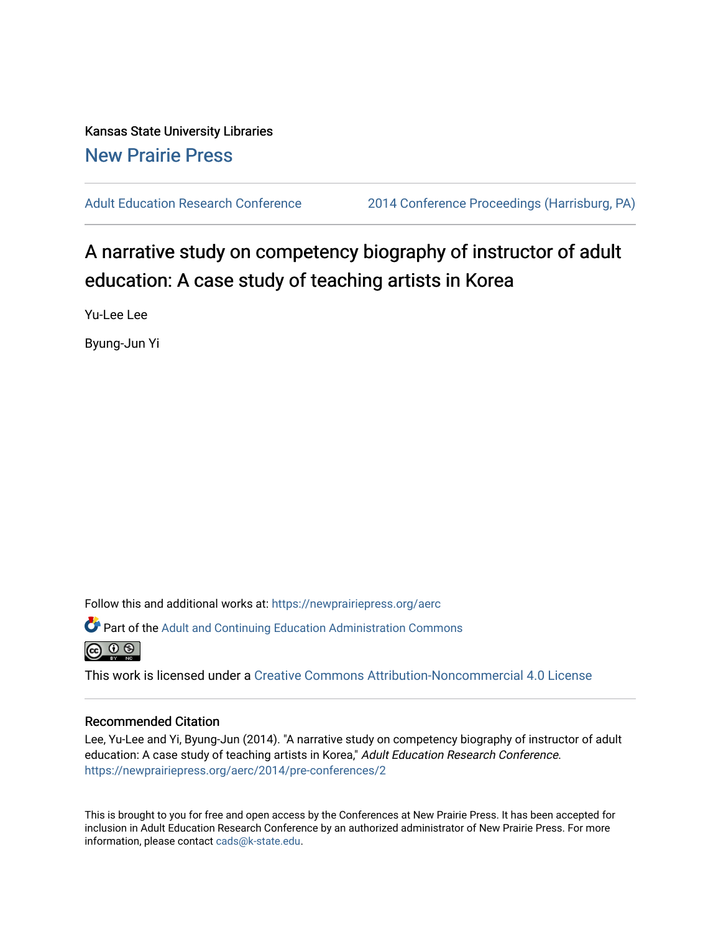Kansas State University Libraries [New Prairie Press](https://newprairiepress.org/) 

[Adult Education Research Conference](https://newprairiepress.org/aerc) [2014 Conference Proceedings \(Harrisburg, PA\)](https://newprairiepress.org/aerc/2014) 

A narrative study on competency biography of instructor of adult education: A case study of teaching artists in Korea

Yu-Lee Lee

Byung-Jun Yi

Follow this and additional works at: [https://newprairiepress.org/aerc](https://newprairiepress.org/aerc?utm_source=newprairiepress.org%2Faerc%2F2014%2Fpre-conferences%2F2&utm_medium=PDF&utm_campaign=PDFCoverPages)

Part of the [Adult and Continuing Education Administration Commons](http://network.bepress.com/hgg/discipline/789?utm_source=newprairiepress.org%2Faerc%2F2014%2Fpre-conferences%2F2&utm_medium=PDF&utm_campaign=PDFCoverPages)



This work is licensed under a [Creative Commons Attribution-Noncommercial 4.0 License](https://creativecommons.org/licenses/by-nc/4.0/)

#### Recommended Citation

Lee, Yu-Lee and Yi, Byung-Jun (2014). "A narrative study on competency biography of instructor of adult education: A case study of teaching artists in Korea," Adult Education Research Conference. <https://newprairiepress.org/aerc/2014/pre-conferences/2>

This is brought to you for free and open access by the Conferences at New Prairie Press. It has been accepted for inclusion in Adult Education Research Conference by an authorized administrator of New Prairie Press. For more information, please contact [cads@k-state.edu](mailto:cads@k-state.edu).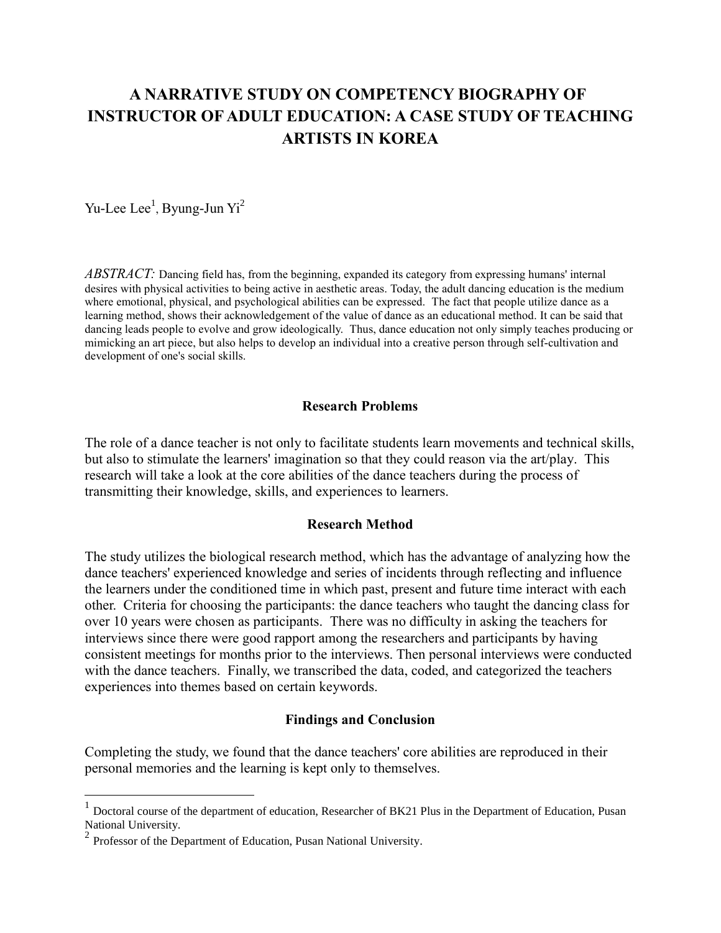# **A NARRATIVE STUDY ON COMPETENCY BIOGRAPHY OF INSTRUCTOR OF ADULT EDUCATION: A CASE STUDY OF TEACHING ARTISTS IN KOREA**

Yu-Lee Lee<sup>1</sup>, Byung-Jun Yi<sup>2</sup>

*ABSTRACT:* Dancing field has, from the beginning, expanded its category from expressing humans' internal desires with physical activities to being active in aesthetic areas. Today, the adult dancing education is the medium where emotional, physical, and psychological abilities can be expressed. The fact that people utilize dance as a learning method, shows their acknowledgement of the value of dance as an educational method. It can be said that dancing leads people to evolve and grow ideologically. Thus, dance education not only simply teaches producing or mimicking an art piece, but also helps to develop an individual into a creative person through self-cultivation and development of one's social skills.

## **Research Problems**

The role of a dance teacher is not only to facilitate students learn movements and technical skills, but also to stimulate the learners' imagination so that they could reason via the art/play. This research will take a look at the core abilities of the dance teachers during the process of transmitting their knowledge, skills, and experiences to learners.

### **Research Method**

The study utilizes the biological research method, which has the advantage of analyzing how the dance teachers' experienced knowledge and series of incidents through reflecting and influence the learners under the conditioned time in which past, present and future time interact with each other. Criteria for choosing the participants: the dance teachers who taught the dancing class for over 10 years were chosen as participants. There was no difficulty in asking the teachers for interviews since there were good rapport among the researchers and participants by having consistent meetings for months prior to the interviews. Then personal interviews were conducted with the dance teachers. Finally, we transcribed the data, coded, and categorized the teachers experiences into themes based on certain keywords.

#### **Findings and Conclusion**

Completing the study, we found that the dance teachers' core abilities are reproduced in their personal memories and the learning is kept only to themselves.

 $\overline{a}$ 

<sup>&</sup>lt;sup>1</sup> Doctoral course of the department of education, Researcher of BK21 Plus in the Department of Education, Pusan National University.

<sup>&</sup>lt;sup>2</sup> Professor of the Department of Education, Pusan National University.